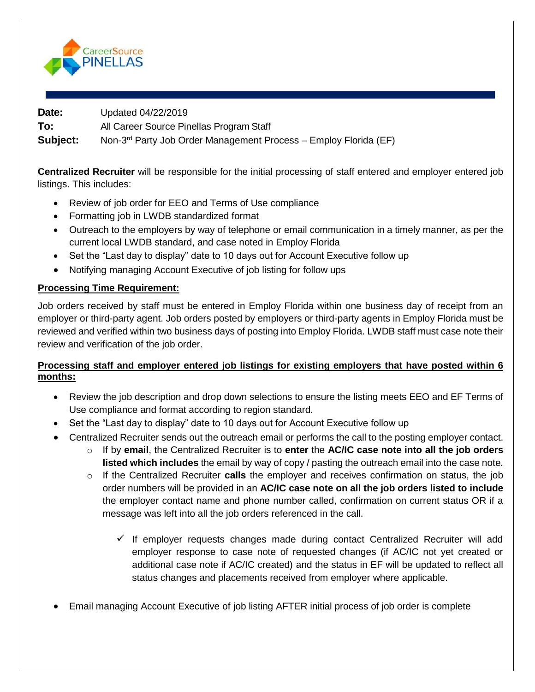

**Date:** Updated 04/22/2019

**To:** All Career Source Pinellas Program Staff

Subject: Non-3<sup>rd</sup> Party Job Order Management Process – Employ Florida (EF)

**Centralized Recruiter** will be responsible for the initial processing of staff entered and employer entered job listings. This includes:

- Review of job order for EEO and Terms of Use compliance
- Formatting job in LWDB standardized format
- Outreach to the employers by way of telephone or email communication in a timely manner, as per the current local LWDB standard, and case noted in Employ Florida
- Set the "Last day to display" date to 10 days out for Account Executive follow up
- Notifying managing Account Executive of job listing for follow ups

# **Processing Time Requirement:**

Job orders received by staff must be entered in Employ Florida within one business day of receipt from an employer or third-party agent. Job orders posted by employers or third-party agents in Employ Florida must be reviewed and verified within two business days of posting into Employ Florida. LWDB staff must case note their review and verification of the job order.

## **Processing staff and employer entered job listings for existing employers that have posted within 6 months:**

- Review the job description and drop down selections to ensure the listing meets EEO and EF Terms of Use compliance and format according to region standard.
- Set the "Last day to display" date to 10 days out for Account Executive follow up
- Centralized Recruiter sends out the outreach email or performs the call to the posting employer contact.
	- o If by **email**, the Centralized Recruiter is to **enter** the **AC/IC case note into all the job orders listed which includes** the email by way of copy / pasting the outreach email into the case note.
	- o If the Centralized Recruiter **calls** the employer and receives confirmation on status, the job order numbers will be provided in an **AC/IC case note on all the job orders listed to include** the employer contact name and phone number called, confirmation on current status OR if a message was left into all the job orders referenced in the call.
		- $\checkmark$  If employer requests changes made during contact Centralized Recruiter will add employer response to case note of requested changes (if AC/IC not yet created or additional case note if AC/IC created) and the status in EF will be updated to reflect all status changes and placements received from employer where applicable.
- Email managing Account Executive of job listing AFTER initial process of job order is complete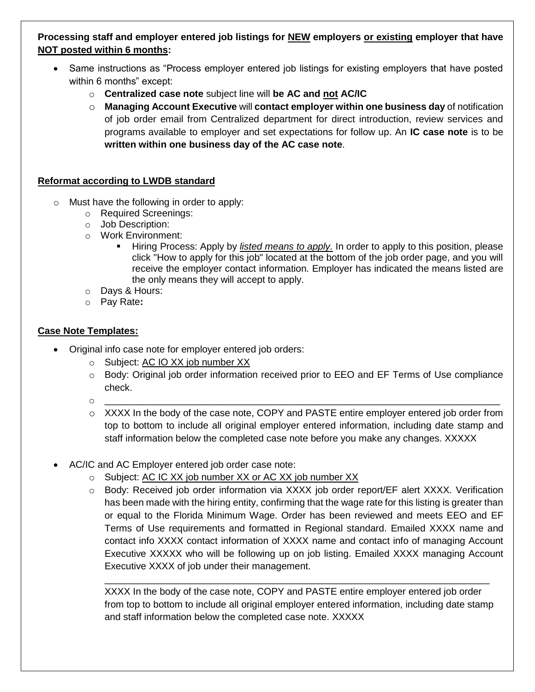# **Processing staff and employer entered job listings for NEW employers or existing employer that have NOT posted within 6 months:**

- Same instructions as "Process employer entered job listings for existing employers that have posted within 6 months" except:
	- o **Centralized case note** subject line will **be AC and not AC/IC**
	- o **Managing Account Executive** will **contact employer within one business day** of notification of job order email from Centralized department for direct introduction, review services and programs available to employer and set expectations for follow up. An **IC case note** is to be **written within one business day of the AC case note**.

## **Reformat according to LWDB standard**

- o Must have the following in order to apply:
	- o Required Screenings:
	- o Job Description:
	- o Work Environment:
		- Hiring Process: Apply by *listed means to apply.* In order to apply to this position, please click "How to apply for this job" located at the bottom of the job order page, and you will receive the employer contact information. Employer has indicated the means listed are the only means they will accept to apply.
	- o Days & Hours:
	- o Pay Rate**:**

## **Case Note Templates:**

- Original info case note for employer entered job orders:
	- o Subject: AC IO XX job number XX
	- o Body: Original job order information received prior to EEO and EF Terms of Use compliance check.
	- o \_\_\_\_\_\_\_\_\_\_\_\_\_\_\_\_\_\_\_\_\_\_\_\_\_\_\_\_\_\_\_\_\_\_\_\_\_\_\_\_\_\_\_\_\_\_\_\_\_\_\_\_\_\_\_\_\_\_\_\_\_\_\_\_\_\_\_\_\_\_\_\_\_\_
	- o XXXX In the body of the case note, COPY and PASTE entire employer entered job order from top to bottom to include all original employer entered information, including date stamp and staff information below the completed case note before you make any changes. XXXXX
- AC/IC and AC Employer entered job order case note:
	- o Subject: AC IC XX job number XX or AC XX job number XX
	- o Body: Received job order information via XXXX job order report/EF alert XXXX. Verification has been made with the hiring entity, confirming that the wage rate for this listing is greater than or equal to the Florida Minimum Wage. Order has been reviewed and meets EEO and EF Terms of Use requirements and formatted in Regional standard. Emailed XXXX name and contact info XXXX contact information of XXXX name and contact info of managing Account Executive XXXXX who will be following up on job listing. Emailed XXXX managing Account Executive XXXX of job under their management.

XXXX In the body of the case note, COPY and PASTE entire employer entered job order from top to bottom to include all original employer entered information, including date stamp and staff information below the completed case note. XXXXX

\_\_\_\_\_\_\_\_\_\_\_\_\_\_\_\_\_\_\_\_\_\_\_\_\_\_\_\_\_\_\_\_\_\_\_\_\_\_\_\_\_\_\_\_\_\_\_\_\_\_\_\_\_\_\_\_\_\_\_\_\_\_\_\_\_\_\_\_\_\_\_\_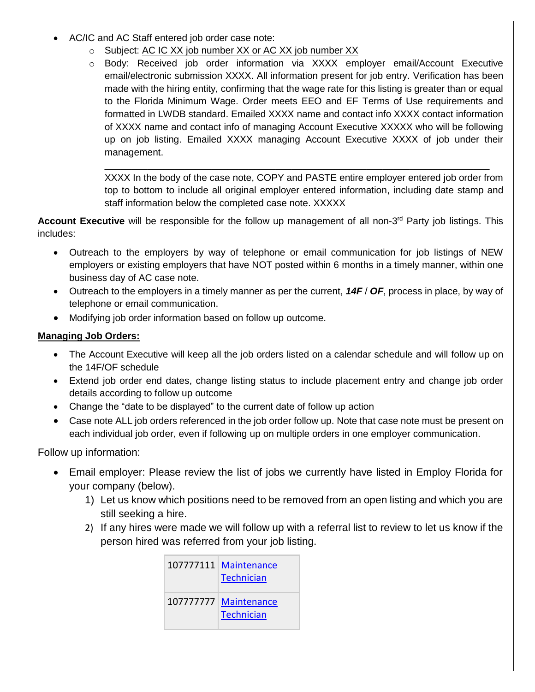- AC/IC and AC Staff entered job order case note:
	- o Subject: AC IC XX job number XX or AC XX job number XX
	- o Body: Received job order information via XXXX employer email/Account Executive email/electronic submission XXXX. All information present for job entry. Verification has been made with the hiring entity, confirming that the wage rate for this listing is greater than or equal to the Florida Minimum Wage. Order meets EEO and EF Terms of Use requirements and formatted in LWDB standard. Emailed XXXX name and contact info XXXX contact information of XXXX name and contact info of managing Account Executive XXXXX who will be following up on job listing. Emailed XXXX managing Account Executive XXXX of job under their management.

XXXX In the body of the case note, COPY and PASTE entire employer entered job order from top to bottom to include all original employer entered information, including date stamp and staff information below the completed case note. XXXXX

\_\_\_\_\_\_\_\_\_\_\_\_\_\_\_\_\_\_\_\_\_\_\_\_\_\_\_\_\_\_\_\_\_\_\_\_\_\_\_\_\_\_\_\_\_\_\_\_\_\_\_\_\_\_\_\_\_\_\_\_\_\_\_\_\_\_\_\_\_\_\_\_

Account Executive will be responsible for the follow up management of all non-3<sup>rd</sup> Party job listings. This includes:

- Outreach to the employers by way of telephone or email communication for job listings of NEW employers or existing employers that have NOT posted within 6 months in a timely manner, within one business day of AC case note.
- Outreach to the employers in a timely manner as per the current, *14F* / *OF*, process in place, by way of telephone or email communication.
- Modifying job order information based on follow up outcome.

#### **Managing Job Orders:**

- The Account Executive will keep all the job orders listed on a calendar schedule and will follow up on the 14F/OF schedule
- Extend job order end dates, change listing status to include placement entry and change job order details according to follow up outcome
- Change the "date to be displayed" to the current date of follow up action
- Case note ALL job orders referenced in the job order follow up. Note that case note must be present on each individual job order, even if following up on multiple orders in one employer communication.

Follow up information:

- Email employer: Please review the list of jobs we currently have listed in Employ Florida for your company (below).
	- 1) Let us know which positions need to be removed from an open listing and which you are still seeking a hire.
	- 2) If any hires were made we will follow up with a referral list to review to let us know if the person hired was referred from your job listing.